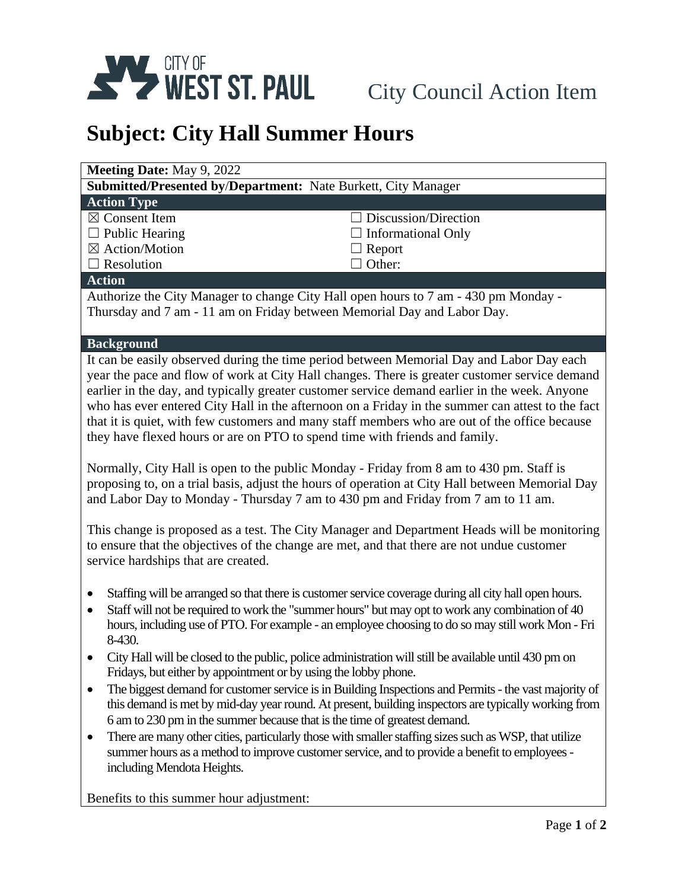

## **Subject: City Hall Summer Hours**

| Meeting Date: May 9, 2022                                                                                                                                                                                                                                                                                                                                                                                                                                                                                                                                                      |                             |  |
|--------------------------------------------------------------------------------------------------------------------------------------------------------------------------------------------------------------------------------------------------------------------------------------------------------------------------------------------------------------------------------------------------------------------------------------------------------------------------------------------------------------------------------------------------------------------------------|-----------------------------|--|
| Submitted/Presented by/Department: Nate Burkett, City Manager                                                                                                                                                                                                                                                                                                                                                                                                                                                                                                                  |                             |  |
| <b>Action Type</b>                                                                                                                                                                                                                                                                                                                                                                                                                                                                                                                                                             |                             |  |
| $\boxtimes$ Consent Item                                                                                                                                                                                                                                                                                                                                                                                                                                                                                                                                                       | $\Box$ Discussion/Direction |  |
| $\Box$ Public Hearing                                                                                                                                                                                                                                                                                                                                                                                                                                                                                                                                                          | $\Box$ Informational Only   |  |
| ⊠ Action/Motion                                                                                                                                                                                                                                                                                                                                                                                                                                                                                                                                                                | $\Box$ Report               |  |
| $\Box$ Resolution                                                                                                                                                                                                                                                                                                                                                                                                                                                                                                                                                              | $\Box$ Other:               |  |
| <b>Action</b>                                                                                                                                                                                                                                                                                                                                                                                                                                                                                                                                                                  |                             |  |
| Authorize the City Manager to change City Hall open hours to 7 am - 430 pm Monday -                                                                                                                                                                                                                                                                                                                                                                                                                                                                                            |                             |  |
| Thursday and 7 am - 11 am on Friday between Memorial Day and Labor Day.                                                                                                                                                                                                                                                                                                                                                                                                                                                                                                        |                             |  |
| <b>Background</b>                                                                                                                                                                                                                                                                                                                                                                                                                                                                                                                                                              |                             |  |
| It can be easily observed during the time period between Memorial Day and Labor Day each<br>year the pace and flow of work at City Hall changes. There is greater customer service demand<br>earlier in the day, and typically greater customer service demand earlier in the week. Anyone<br>who has ever entered City Hall in the afternoon on a Friday in the summer can attest to the fact<br>that it is quiet, with few customers and many staff members who are out of the office because<br>they have flexed hours or are on PTO to spend time with friends and family. |                             |  |
| Normally, City Hall is open to the public Monday - Friday from 8 am to 430 pm. Staff is<br>proposing to, on a trial basis, adjust the hours of operation at City Hall between Memorial Day<br>and Labor Day to Monday - Thursday 7 am to 430 pm and Friday from 7 am to 11 am.                                                                                                                                                                                                                                                                                                 |                             |  |
| This change is proposed as a test. The City Manager and Department Heads will be monitoring<br>to ensure that the objectives of the change are met, and that there are not undue customer<br>service hardships that are created.                                                                                                                                                                                                                                                                                                                                               |                             |  |
| Staffing will be arranged so that there is customer service coverage during all city hall open hours.<br>$\bullet$<br>Staff will not be required to work the "summer hours" but may opt to work any combination of 40<br>$\bullet$<br>hours, including use of PTO. For example - an employee choosing to do so may still work Mon - Fri<br>8-430.                                                                                                                                                                                                                              |                             |  |
| City Hall will be closed to the public, police administration will still be available until 430 pm on<br>$\bullet$<br>Fridays, but either by appointment or by using the lobby phone.                                                                                                                                                                                                                                                                                                                                                                                          |                             |  |
| The biggest demand for customer service is in Building Inspections and Permits - the vast majority of<br>$\bullet$<br>this demand is met by mid-day year round. At present, building inspectors are typically working from<br>6 am to 230 pm in the summer because that is the time of greatest demand.<br>There are many other cities, particularly those with smaller staffing sizes such as WSP that utilize                                                                                                                                                                |                             |  |

 There are many other cities, particularly those with smallerstaffing sizessuch as WSP, that utilize summer hours as a method to improve customer service, and to provide a benefit to employees including Mendota Heights.

Benefits to this summer hour adjustment: